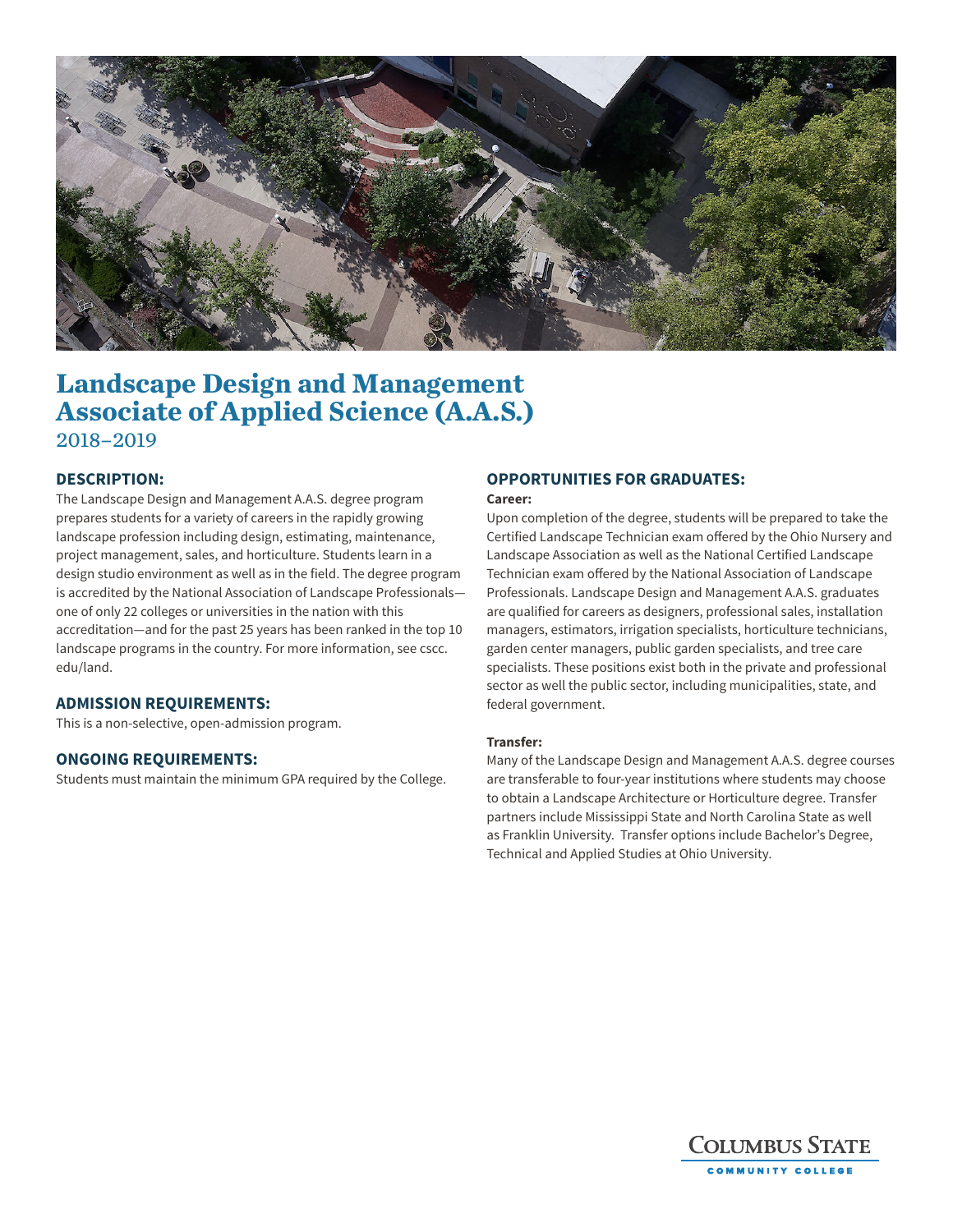

# **Landscape Design and Management Associate of Applied Science (A.A.S.)** 2018–2019

## **DESCRIPTION:**

The Landscape Design and Management A.A.S. degree program prepares students for a variety of careers in the rapidly growing landscape profession including design, estimating, maintenance, project management, sales, and horticulture. Students learn in a design studio environment as well as in the field. The degree program is accredited by the National Association of Landscape Professionals one of only 22 colleges or universities in the nation with this accreditation—and for the past 25 years has been ranked in the top 10 landscape programs in the country. For more information, see cscc. edu/land.

#### **ADMISSION REQUIREMENTS:**

This is a non-selective, open-admission program.

#### **ONGOING REQUIREMENTS:**

Students must maintain the minimum GPA required by the College.

# **OPPORTUNITIES FOR GRADUATES:**

#### **Career:**

Upon completion of the degree, students will be prepared to take the Certified Landscape Technician exam offered by the Ohio Nursery and Landscape Association as well as the National Certified Landscape Technician exam offered by the National Association of Landscape Professionals. Landscape Design and Management A.A.S. graduates are qualified for careers as designers, professional sales, installation managers, estimators, irrigation specialists, horticulture technicians, garden center managers, public garden specialists, and tree care specialists. These positions exist both in the private and professional sector as well the public sector, including municipalities, state, and federal government.

#### **Transfer:**

Many of the Landscape Design and Management A.A.S. degree courses are transferable to four-year institutions where students may choose to obtain a Landscape Architecture or Horticulture degree. Transfer partners include Mississippi State and North Carolina State as well as Franklin University. Transfer options include Bachelor's Degree, Technical and Applied Studies at Ohio University.